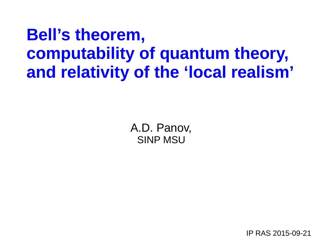# **Bell's theorem, computability of quantum theory, and relativity of the 'local realism'**

A.D. Panov, SINP MSU

IP RAS 2015-09-21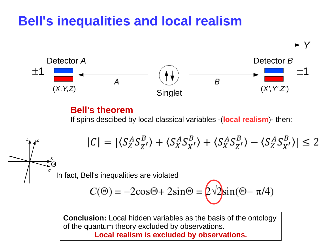## **Bell's inequalities and local realism**



**Conclusion:** Local hidden variables as the basis of the ontology of the quantum theory excluded by observations. **Local realism is excluded by observations.**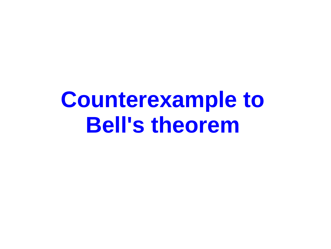# **Counterexample to Bell's theorem**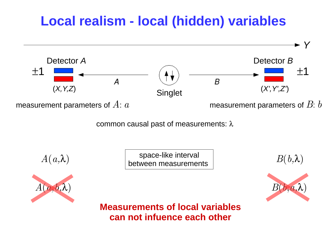# **Local realism - local (hidden) variables**

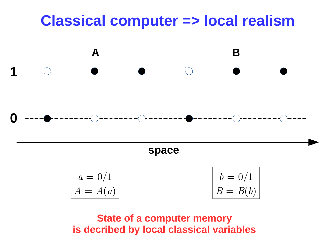# **Classical computer => local realism**



**space**

| $a=0/1$    | $  b = 0/1$     |
|------------|-----------------|
| $A = A(a)$ | $\mid B = B(b)$ |

**State of a computer memory is decribed by local classical variables**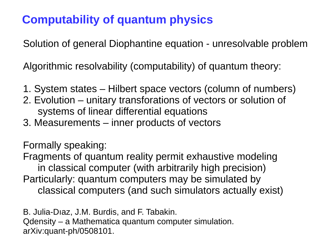### **Computability of quantum physics**

Solution of general Diophantine equation - unresolvable problem

Algorithmic resolvability (computability) of quantum theory:

- 1. System states Hilbert space vectors (column of numbers)
- 2. Evolution unitary transforations of vectors or solution of systems of linear differential equations
- 3. Measurements inner products of vectors

Formally speaking:

Fragments of quantum reality permit exhaustive modeling in classical computer (with arbitrarily high precision) Particularly: quantum computers may be simulated by classical computers (and such simulators actually exist)

B. Julia-Dıaz, J.M. Burdis, and F. Tabakin. Qdensity – a Mathematica quantum computer simulation. arXiv:quant-ph/0508101.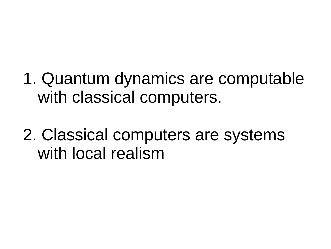- 1. Quantum dynamics are computable with classical computers.
- 2. Classical computers are systems with local realism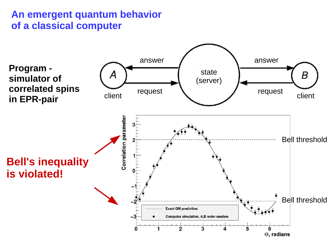#### **An emergent quantum behavior of a classical computer**

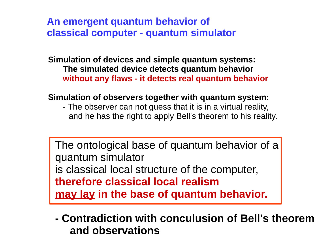**An emergent quantum behavior of classical computer - quantum simulator**

**Simulation of devices and simple quantum systems: The simulated device detects quantum behavior without any flaws - it detects real quantum behavior**

#### **Simulation of observers together with quantum system:**

- The observer can not guess that it is in a virtual reality, and he has the right to apply Bell's theorem to his reality.

The ontological base of quantum behavior of a quantum simulator is classical local structure of the computer, **therefore classical local realism may lay in the base of quantum behavior.**

**- Contradiction with conculusion of Bell's theorem and observations**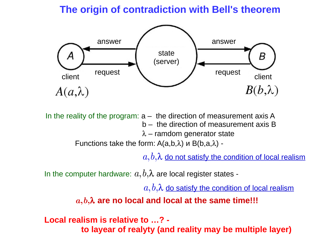#### **The origin of contradiction with Bell's theorem**



In the reality of the program:  $a -$  the direction of measurement axis A b – the direction of measurement axis B  $\lambda$  – ramdom generator state

Functions take the form:  $A(a,b,\lambda)$  и  $B(b,a,\lambda)$  -

 $a, b, \lambda$  do not satisfy the condition of local realism

In the computer hardware:  $a,b,\lambda$  are local register states -

 $a, b, \lambda$  do satisfy the condition of local realism

 *a***,***b***,are no local and local at the same time!!!**

**Local realism is relative to …? to layear of realyty (and reality may be multiple layer)**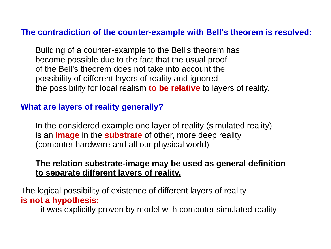#### **The contradiction of the counter-example with Bell's theorem is resolved:**

Building of a counter-example to the Bell's theorem has become possible due to the fact that the usual proof of the Bell's theorem does not take into account the possibility of different layers of reality and ignored the possibility for local realism **to be relative** to layers of reality.

#### **What are layers of reality generally?**

In the considered example one layer of reality (simulated reality) is an **image** in the **substrate** of other, more deep reality (computer hardware and all our physical world)

#### **The relation substrate-image may be used as general definition to separate different layers of reality.**

The logical possibility of existence of different layers of reality **is not a hypothesis:**

- it was explicitly proven by model with computer simulated reality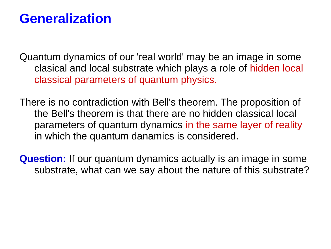### **Generalization**

Quantum dynamics of our 'real world' may be an image in some clasical and local substrate which plays a role of hidden local classical parameters of quantum physics.

There is no contradiction with Bell's theorem. The proposition of the Bell's theorem is that there are no hidden classical local parameters of quantum dynamics in the same layer of reality in which the quantum danamics is considered.

**Question:** If our quantum dynamics actually is an image in some substrate, what can we say about the nature of this substrate?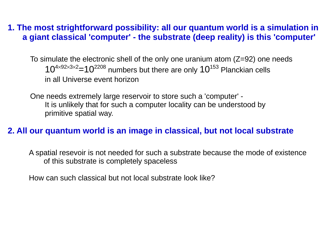#### **1. The most strightforward possibility: all our quantum world is a simulation in a giant classical 'computer' - the substrate (deep reality) is this 'computer'**

To simulate the electronic shell of the only one uranium atom (Z=92) one needs  $10^{4\times92\times3\times2}=10^{2208}$  numbers but there are only  $10^{153}$  Planckian cells in all Universe event horizon

One needs extremely large reservoir to store such a 'computer' - It is unlikely that for such a computer locality can be understood by primitive spatial way.

#### **2. All our quantum world is an image in classical, but not local substrate**

A spatial resevoir is not needed for such a substrate because the mode of existence of this substrate is completely spaceless

How can such classical but not local substrate look like?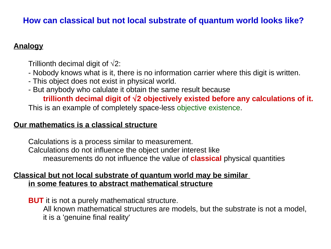#### **How can classical but not local substrate of quantum world looks like?**

#### **Analogy**

Trillionth decimal digit of  $\sqrt{2}$ :

- Nobody knows what is it, there is no information carrier where this digit is written.
- This object does not exist in physical world.
- But anybody who calulate it obtain the same result because

**trillionth decimal digit of 2 objectively existed before any calculations of it.**

This is an example of completely space-less objective existence.

#### **Our mathematics is a classical structure**

Calculations is a process similar to measurement. Calculations do not influence the object under interest like measurements do not influence the value of **classical** physical quantities

#### **Classical but not local substrate of quantum world may be similar in some features to abstract mathematical structure**

**BUT** it is not a purely mathematical structure. All known mathematical structures are models, but the substrate is not a model, it is a 'genuine final reality'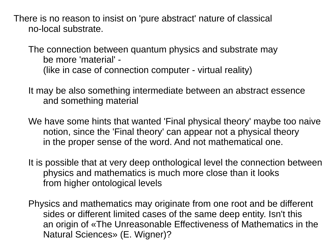There is no reason to insist on 'pure abstract' nature of classical no-local substrate.

The connection between quantum physics and substrate may be more 'material' - (like in case of connection computer - virtual reality)

It may be also something intermediate between an abstract essence and something material

We have some hints that wanted 'Final physical theory' maybe too naive notion, since the 'Final theory' can appear not a physical theory in the proper sense of the word. And not mathematical one.

It is possible that at very deep onthological level the connection between physics and mathematics is much more close than it looks from higher ontological levels

Physics and mathematics may originate from one root and be different sides or different limited cases of the same deep entity. Isn't this an origin of «The Unreasonable Effectiveness of Mathematics in the Natural Sciences» (E. Wigner)?